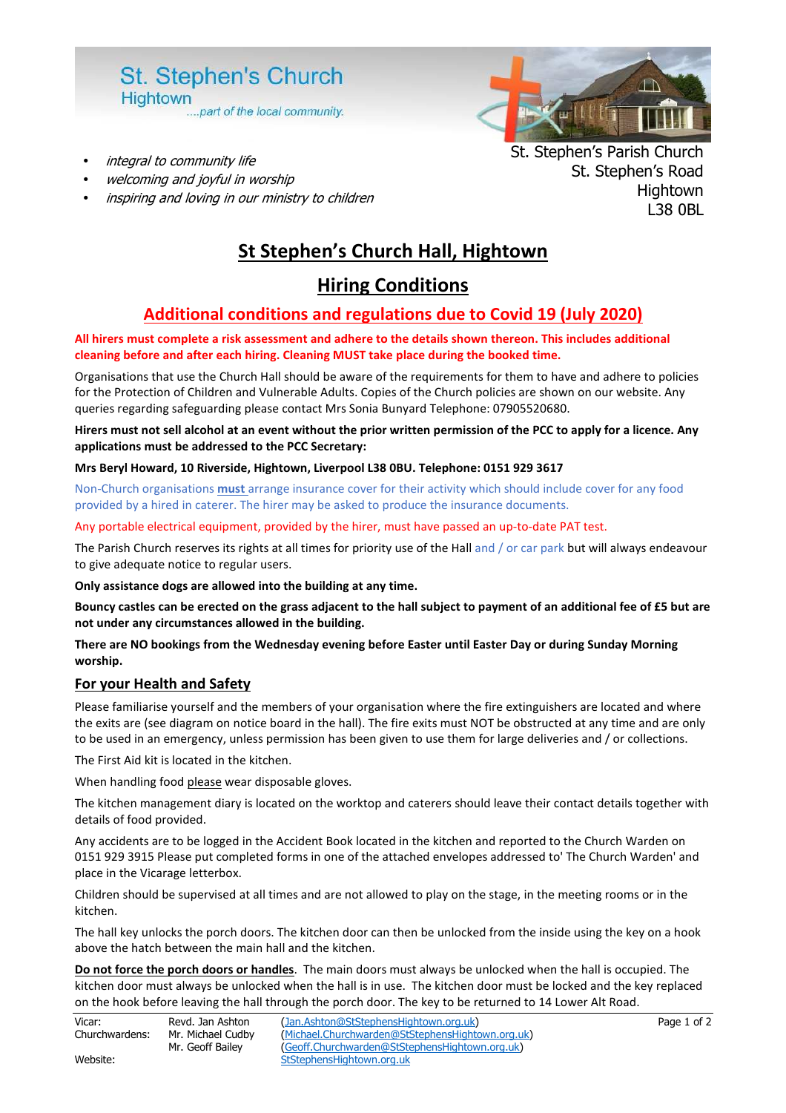

- integral to community life
- welcoming and joyful in worship
- inspiring and loving in our ministry to children

# St. Stephen's Parish Church St. Stephen's Road **Hightown** L38 0BL

# **St Stephen's Church Hall, Hightown**

# **Hiring Conditions**

# **Additional conditions and regulations due to Covid 19 (July 2020)**

#### **All hirers must complete a risk assessment and adhere to the details shown thereon. This includes additional cleaning before and after each hiring. Cleaning MUST take place during the booked time.**

Organisations that use the Church Hall should be aware of the requirements for them to have and adhere to policies for the Protection of Children and Vulnerable Adults. Copies of the Church policies are shown on our website. Any queries regarding safeguarding please contact Mrs Sonia Bunyard Telephone: 07905520680.

**Hirers must not sell alcohol at an event without the prior written permission of the PCC to apply for a licence. Any applications must be addressed to the PCC Secretary:** 

#### **Mrs Beryl Howard, 10 Riverside, Hightown, Liverpool L38 0BU. Telephone: 0151 929 3617**

Non-Church organisations **must** arrange insurance cover for their activity which should include cover for any food provided by a hired in caterer. The hirer may be asked to produce the insurance documents.

#### Any portable electrical equipment, provided by the hirer, must have passed an up-to-date PAT test.

The Parish Church reserves its rights at all times for priority use of the Hall and / or car park but will always endeavour to give adequate notice to regular users.

**Only assistance dogs are allowed into the building at any time.** 

**Bouncy castles can be erected on the grass adjacent to the hall subject to payment of an additional fee of £5 but are not under any circumstances allowed in the building.** 

#### **There are NO bookings from the Wednesday evening before Easter until Easter Day or during Sunday Morning worship.**

#### **For your Health and Safety**

Please familiarise yourself and the members of your organisation where the fire extinguishers are located and where the exits are (see diagram on notice board in the hall). The fire exits must NOT be obstructed at any time and are only to be used in an emergency, unless permission has been given to use them for large deliveries and / or collections.

The First Aid kit is located in the kitchen.

When handling food please wear disposable gloves.

The kitchen management diary is located on the worktop and caterers should leave their contact details together with details of food provided.

Any accidents are to be logged in the Accident Book located in the kitchen and reported to the Church Warden on 0151 929 3915 Please put completed forms in one of the attached envelopes addressed to' The Church Warden' and place in the Vicarage letterbox.

Children should be supervised at all times and are not allowed to play on the stage, in the meeting rooms or in the kitchen.

The hall key unlocks the porch doors. The kitchen door can then be unlocked from the inside using the key on a hook above the hatch between the main hall and the kitchen.

**Do not force the porch doors or handles**. The main doors must always be unlocked when the hall is occupied. The kitchen door must always be unlocked when the hall is in use. The kitchen door must be locked and the key replaced on the hook before leaving the hall through the porch door. The key to be returned to 14 Lower Alt Road.